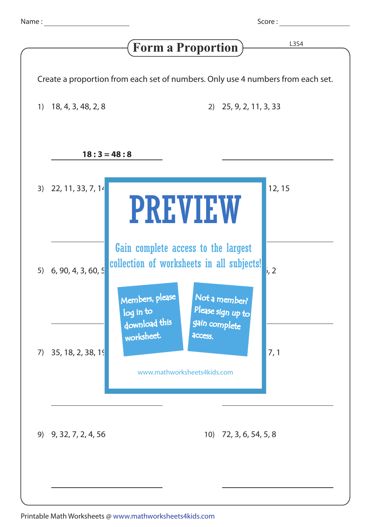Score :